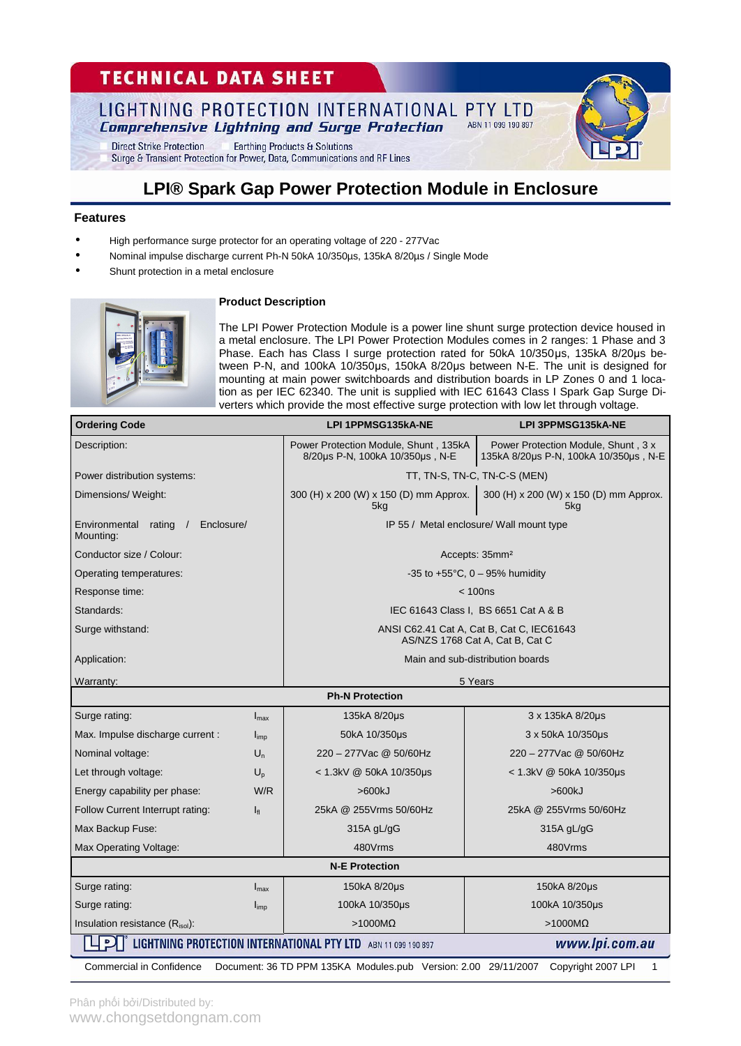# **TECHNICAL DATA SHEET**

#### LIGHTNING PROTECTION INTERNATIONAL PTY LTD ABN 11 099 190 897 **Comprehensive Lightning and Surge Protection**

**Direct Strike Protection Earthing Products & Solutions** Surge & Transient Protection for Power, Data, Communications and RF Lines

# **LPI® Spark Gap Power Protection Module in Enclosure**

### **Features**

- High performance surge protector for an operating voltage of 220 277Vac
- Nominal impulse discharge current Ph-N 50kA 10/350µs, 135kA 8/20µs / Single Mode
- Shunt protection in a metal enclosure



### **Product Description**

The LPI Power Protection Module is a power line shunt surge protection device housed in a metal enclosure. The LPI Power Protection Modules comes in 2 ranges: 1 Phase and 3 Phase. Each has Class I surge protection rated for 50kA 10/350μs, 135kA 8/20μs between P-N, and 100kA 10/350μs, 150kA 8/20μs between N-E. The unit is designed for mounting at main power switchboards and distribution boards in LP Zones 0 and 1 location as per IEC 62340. The unit is supplied with IEC 61643 Class I Spark Gap Surge Diverters which provide the most effective surge protection with low let through voltage.

| <b>Ordering Code</b>                                                                                          |                  | <b>LPI 1PPMSG135kA-NE</b>                                                    | LPI 3PPMSG135kA-NE                                                           |  |  |  |
|---------------------------------------------------------------------------------------------------------------|------------------|------------------------------------------------------------------------------|------------------------------------------------------------------------------|--|--|--|
| Description:                                                                                                  |                  | Power Protection Module, Shunt, 135kA<br>8/20us P-N, 100kA 10/350us, N-E     | Power Protection Module, Shunt, 3 x<br>135kA 8/20µs P-N, 100kA 10/350µs, N-E |  |  |  |
| Power distribution systems:                                                                                   |                  | TT, TN-S, TN-C, TN-C-S (MEN)                                                 |                                                                              |  |  |  |
| Dimensions/Weight:                                                                                            |                  | 300 (H) x 200 (W) x 150 (D) mm Approx.<br>5kg                                | 300 (H) x 200 (W) x 150 (D) mm Approx.<br>5kg                                |  |  |  |
| Environmental<br>rating<br>Enclosure/<br>Mounting:                                                            |                  | IP 55 / Metal enclosure/ Wall mount type                                     |                                                                              |  |  |  |
| Conductor size / Colour:                                                                                      |                  | Accepts: 35mm <sup>2</sup>                                                   |                                                                              |  |  |  |
| Operating temperatures:                                                                                       |                  | $-35$ to $+55^{\circ}$ C, 0 - 95% humidity                                   |                                                                              |  |  |  |
| Response time:                                                                                                |                  | < 100ns                                                                      |                                                                              |  |  |  |
| Standards:                                                                                                    |                  | IEC 61643 Class I, BS 6651 Cat A & B                                         |                                                                              |  |  |  |
| Surge withstand:                                                                                              |                  | ANSI C62.41 Cat A, Cat B, Cat C, IEC61643<br>AS/NZS 1768 Cat A, Cat B, Cat C |                                                                              |  |  |  |
| Application:                                                                                                  |                  | Main and sub-distribution boards                                             |                                                                              |  |  |  |
| Warranty:                                                                                                     |                  | 5 Years                                                                      |                                                                              |  |  |  |
| <b>Ph-N Protection</b>                                                                                        |                  |                                                                              |                                                                              |  |  |  |
| Surge rating:                                                                                                 | $I_{\text{max}}$ | 135kA 8/20µs                                                                 | 3 x 135kA 8/20µs                                                             |  |  |  |
| Max. Impulse discharge current:                                                                               | $I_{\text{imp}}$ | 50kA 10/350us                                                                | 3 x 50kA 10/350us                                                            |  |  |  |
| Nominal voltage:                                                                                              | $U_n$            | 220 - 277 Vac @ 50/60 Hz                                                     | 220 - 277 Vac @ 50/60 Hz                                                     |  |  |  |
| Let through voltage:                                                                                          | $U_{p}$          | < 1.3kV @ 50kA 10/350µs                                                      | < 1.3kV @ 50kA 10/350µs                                                      |  |  |  |
| Energy capability per phase:                                                                                  | W/R              | >600kJ                                                                       | >600kJ                                                                       |  |  |  |
| Follow Current Interrupt rating:                                                                              | $I_{\rm fl}$     | 25kA @ 255Vrms 50/60Hz                                                       | 25kA @ 255Vrms 50/60Hz                                                       |  |  |  |
| Max Backup Fuse:                                                                                              |                  | 315A gL/gG                                                                   | 315A gL/gG                                                                   |  |  |  |
| Max Operating Voltage:                                                                                        |                  | 480Vrms                                                                      | 480Vrms                                                                      |  |  |  |
| <b>N-E Protection</b>                                                                                         |                  |                                                                              |                                                                              |  |  |  |
| Surge rating:                                                                                                 | $I_{\text{max}}$ | 150kA 8/20µs                                                                 | 150kA 8/20µs                                                                 |  |  |  |
| Surge rating:                                                                                                 | $I_{\text{imp}}$ | 100kA 10/350us                                                               | 100kA 10/350us                                                               |  |  |  |
| Insulation resistance (Risol):                                                                                |                  | $>1000$ MΩ                                                                   | $>1000M\Omega$                                                               |  |  |  |
| $\overline{P}$<br>LIGHTNING PROTECTION INTERNATIONAL PTY LTD ABN 11 099 190 897<br>www.lpi.com.au             |                  |                                                                              |                                                                              |  |  |  |
| Document: 36 TD PPM 135KA Modules.pub Version: 2.00 29/11/2007 Copyright 2007 LPI<br>Commercial in Confidence |                  |                                                                              |                                                                              |  |  |  |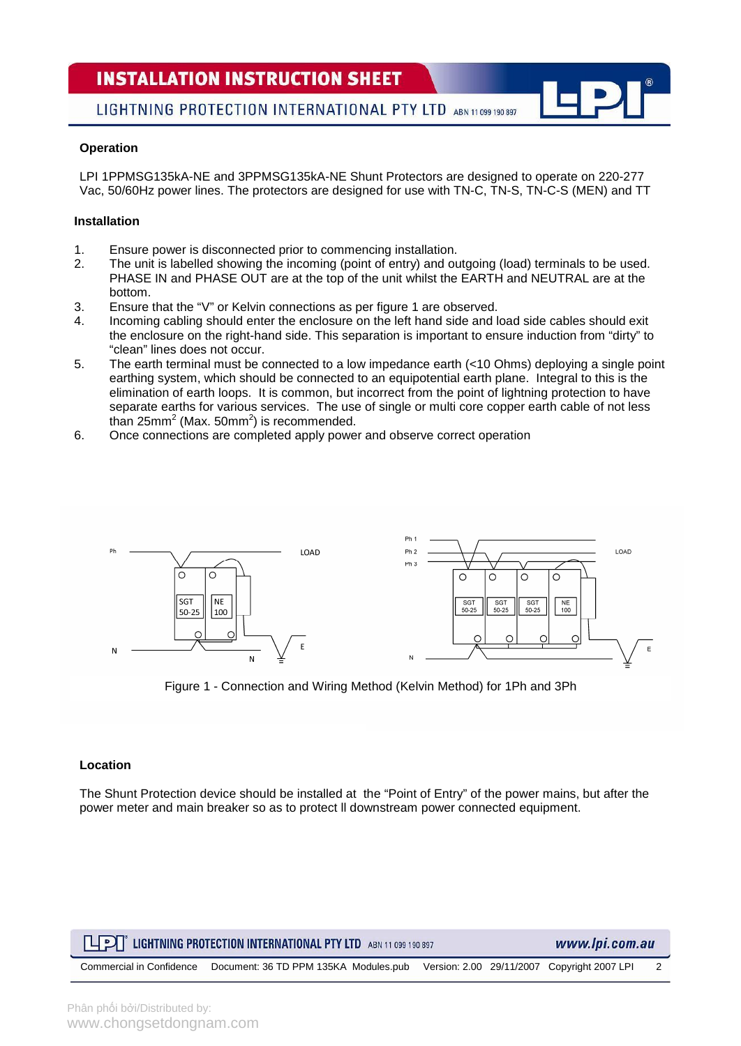# **INSTALLATION INSTRUCTION SHEET**

LIGHTNING PROTECTION INTERNATIONAL PTY LTD ABN 11 099 190 897

### **Operation**

LPI 1PPMSG135kA-NE and 3PPMSG135kA-NE Shunt Protectors are designed to operate on 220-277 Vac, 50/60Hz power lines. The protectors are designed for use with TN-C, TN-S, TN-C-S (MEN) and TT

## **Installation**

- 1. Ensure power is disconnected prior to commencing installation.
- 2. The unit is labelled showing the incoming (point of entry) and outgoing (load) terminals to be used. PHASE IN and PHASE OUT are at the top of the unit whilst the EARTH and NEUTRAL are at the bottom.
- 3. Ensure that the "V" or Kelvin connections as per figure 1 are observed.
- 4. Incoming cabling should enter the enclosure on the left hand side and load side cables should exit the enclosure on the right-hand side. This separation is important to ensure induction from "dirty" to "clean" lines does not occur.
- 5. The earth terminal must be connected to a low impedance earth (<10 Ohms) deploying a single point earthing system, which should be connected to an equipotential earth plane. Integral to this is the elimination of earth loops. It is common, but incorrect from the point of lightning protection to have separate earths for various services. The use of single or multi core copper earth cable of not less than 25mm<sup>2</sup> (Max. 50mm<sup>2</sup>) is recommended.
- 6. Once connections are completed apply power and observe correct operation



Figure 1 - Connection and Wiring Method (Kelvin Method) for 1Ph and 3Ph

#### **Location**

The Shunt Protection device should be installed at the "Point of Entry" of the power mains, but after the power meter and main breaker so as to protect ll downstream power connected equipment.

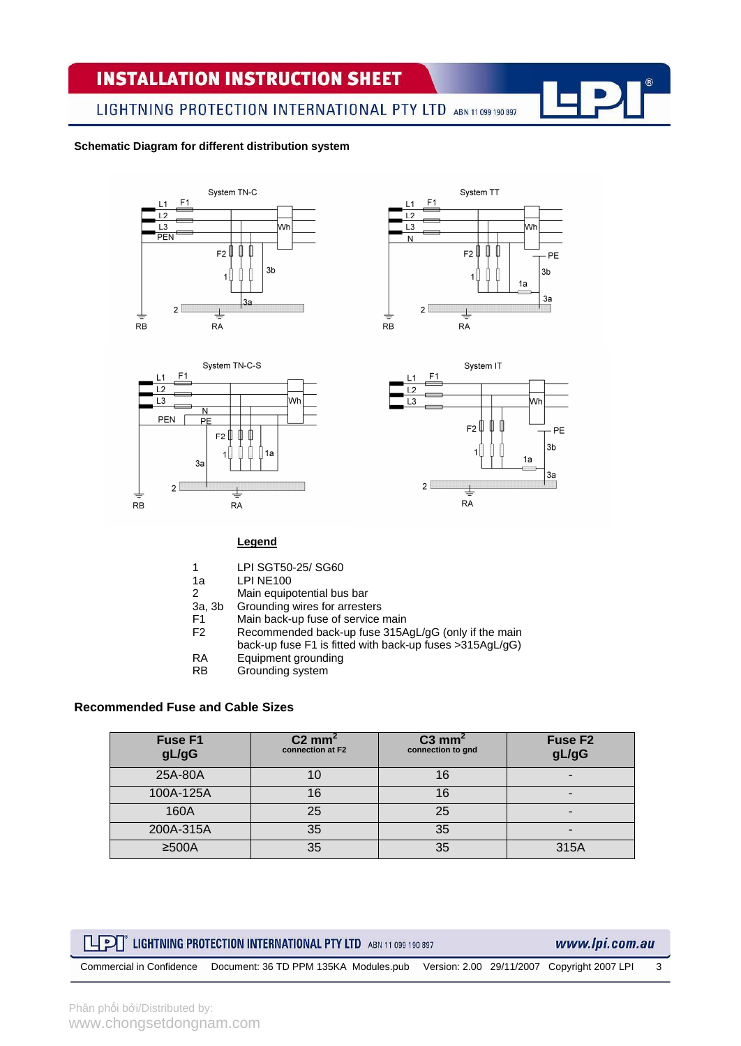# **INSTALLATION INSTRUCTION SHEET**

LIGHTNING PROTECTION INTERNATIONAL PTY LTD ABN 11 099 190 897

#### **Schematic Diagram for different distribution system**









#### **Legend**

- 1 LPI SGT50-25/ SG60
- 
- 1a LPI NE100<br>2 Main equip Main equipotential bus bar
- 
- 3a, 3b Grounding wires for arresters<br>F1 Main back-up fuse of service F1 Main back-up fuse of service main<br>F2 Recommended back-up fuse 315A
- Recommended back-up fuse 315AgL/gG (only if the main
	- back-up fuse F1 is fitted with back-up fuses >315AgL/gG)
- RA Equipment grounding<br>RB Grounding system
- Grounding system

### **Recommended Fuse and Cable Sizes**

| Fuse F1<br>gL/gG | $C2$ mm <sup>2</sup><br>connection at F2 | $C3$ mm <sup>2</sup><br>connection to gnd | Fuse F <sub>2</sub><br>gL/gG |
|------------------|------------------------------------------|-------------------------------------------|------------------------------|
| 25A-80A          |                                          | 16                                        | -                            |
| 100A-125A        | 16                                       | 16                                        | -                            |
| 160A             | 25                                       | 25                                        |                              |
| 200A-315A        | 35                                       | 35                                        | -                            |
| $≥500A$          | 35                                       | 35                                        | 315A                         |

# **LIFE LIGHTNING PROTECTION INTERNATIONAL PTY LTD** ABN 11 099 190 897

### www.lpi.com.au

Commercial in Confidence Document: 36 TD PPM 135KA Modules.pub Version: 2.00 29/11/2007 Copyright 2007 LPI 3